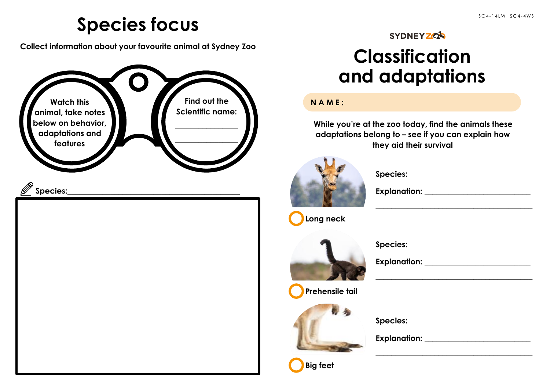### **Species focus**

**Collect information about your favourite animal at Sydney Zoo**



#### **SYDNEY ZOA**

## **Classification and adaptations**

### **NAME:**

**While you're at the zoo today, find the animals these adaptations belong to – see if you can explain how they aid their survival**